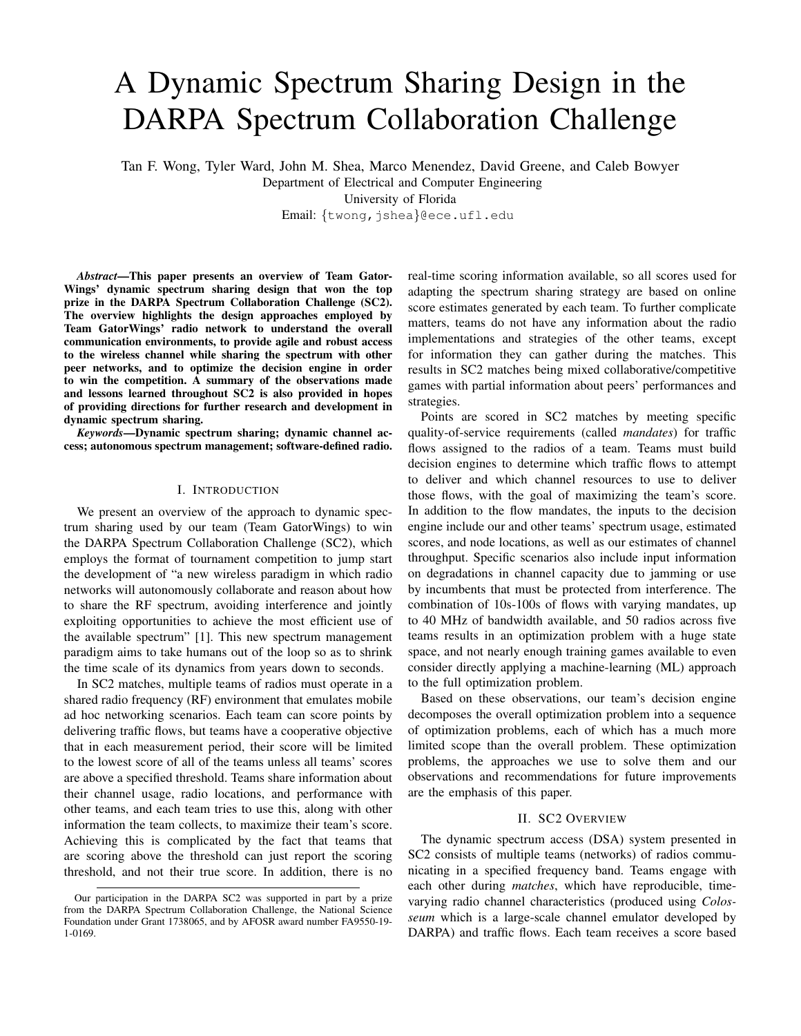# A Dynamic Spectrum Sharing Design in the DARPA Spectrum Collaboration Challenge

Tan F. Wong, Tyler Ward, John M. Shea, Marco Menendez, David Greene, and Caleb Bowyer

Department of Electrical and Computer Engineering

University of Florida

Email: *{*twong,jshea*}*@ece.ufl.edu

*Abstract*—This paper presents an overview of Team Gator-Wings' dynamic spectrum sharing design that won the top prize in the DARPA Spectrum Collaboration Challenge (SC2). The overview highlights the design approaches employed by Team GatorWings' radio network to understand the overall communication environments, to provide agile and robust access to the wireless channel while sharing the spectrum with other peer networks, and to optimize the decision engine in order to win the competition. A summary of the observations made and lessons learned throughout SC2 is also provided in hopes of providing directions for further research and development in dynamic spectrum sharing.

*Keywords*—Dynamic spectrum sharing; dynamic channel access; autonomous spectrum management; software-defined radio.

## I. INTRODUCTION

We present an overview of the approach to dynamic spectrum sharing used by our team (Team GatorWings) to win the DARPA Spectrum Collaboration Challenge (SC2), which employs the format of tournament competition to jump start the development of "a new wireless paradigm in which radio networks will autonomously collaborate and reason about how to share the RF spectrum, avoiding interference and jointly exploiting opportunities to achieve the most efficient use of the available spectrum" [1]. This new spectrum management paradigm aims to take humans out of the loop so as to shrink the time scale of its dynamics from years down to seconds.

In SC2 matches, multiple teams of radios must operate in a shared radio frequency (RF) environment that emulates mobile ad hoc networking scenarios. Each team can score points by delivering traffic flows, but teams have a cooperative objective that in each measurement period, their score will be limited to the lowest score of all of the teams unless all teams' scores are above a specified threshold. Teams share information about their channel usage, radio locations, and performance with other teams, and each team tries to use this, along with other information the team collects, to maximize their team's score. Achieving this is complicated by the fact that teams that are scoring above the threshold can just report the scoring threshold, and not their true score. In addition, there is no real-time scoring information available, so all scores used for adapting the spectrum sharing strategy are based on online score estimates generated by each team. To further complicate matters, teams do not have any information about the radio implementations and strategies of the other teams, except for information they can gather during the matches. This results in SC2 matches being mixed collaborative/competitive games with partial information about peers' performances and strategies.

Points are scored in SC2 matches by meeting specific quality-of-service requirements (called *mandates*) for traffic flows assigned to the radios of a team. Teams must build decision engines to determine which traffic flows to attempt to deliver and which channel resources to use to deliver those flows, with the goal of maximizing the team's score. In addition to the flow mandates, the inputs to the decision engine include our and other teams' spectrum usage, estimated scores, and node locations, as well as our estimates of channel throughput. Specific scenarios also include input information on degradations in channel capacity due to jamming or use by incumbents that must be protected from interference. The combination of 10s-100s of flows with varying mandates, up to 40 MHz of bandwidth available, and 50 radios across five teams results in an optimization problem with a huge state space, and not nearly enough training games available to even consider directly applying a machine-learning (ML) approach to the full optimization problem.

Based on these observations, our team's decision engine decomposes the overall optimization problem into a sequence of optimization problems, each of which has a much more limited scope than the overall problem. These optimization problems, the approaches we use to solve them and our observations and recommendations for future improvements are the emphasis of this paper.

#### II. SC2 OVERVIEW

The dynamic spectrum access (DSA) system presented in SC2 consists of multiple teams (networks) of radios communicating in a specified frequency band. Teams engage with each other during *matches*, which have reproducible, timevarying radio channel characteristics (produced using *Colosseum* which is a large-scale channel emulator developed by DARPA) and traffic flows. Each team receives a score based

Our participation in the DARPA SC2 was supported in part by a prize from the DARPA Spectrum Collaboration Challenge, the National Science Foundation under Grant 1738065, and by AFOSR award number FA9550-19- 1-0169.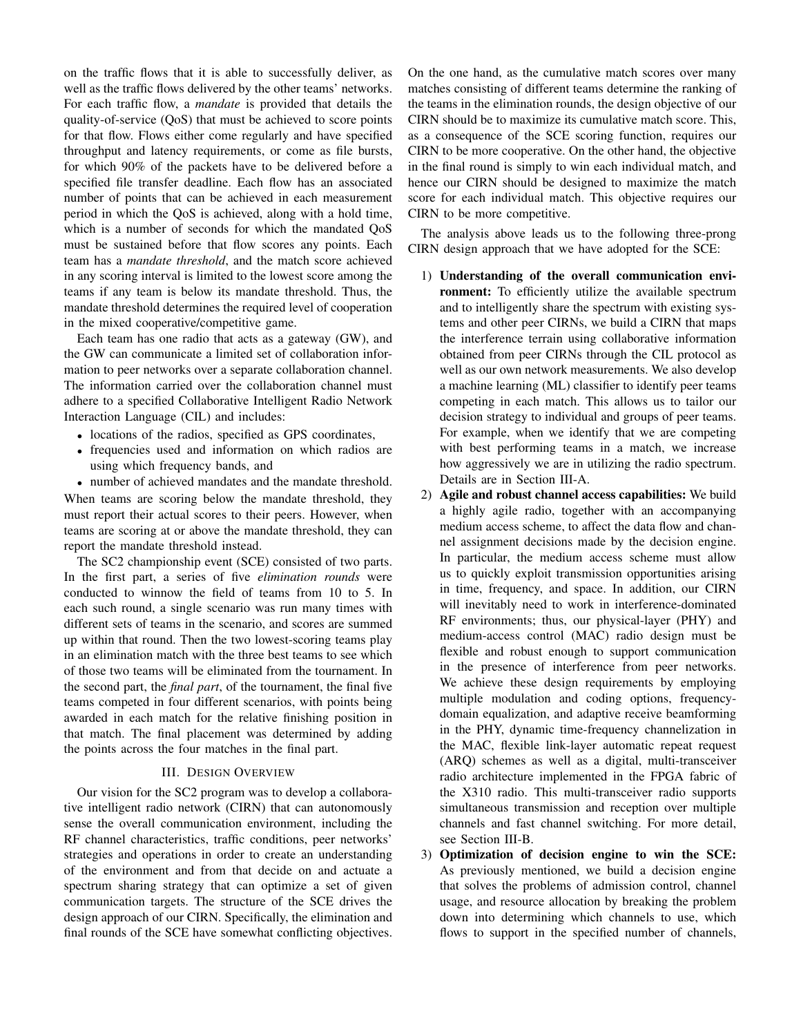on the traffic flows that it is able to successfully deliver, as well as the traffic flows delivered by the other teams' networks. For each traffic flow, a *mandate* is provided that details the quality-of-service (QoS) that must be achieved to score points for that flow. Flows either come regularly and have specified throughput and latency requirements, or come as file bursts, for which 90% of the packets have to be delivered before a specified file transfer deadline. Each flow has an associated number of points that can be achieved in each measurement period in which the QoS is achieved, along with a hold time, which is a number of seconds for which the mandated QoS must be sustained before that flow scores any points. Each team has a *mandate threshold*, and the match score achieved in any scoring interval is limited to the lowest score among the teams if any team is below its mandate threshold. Thus, the mandate threshold determines the required level of cooperation in the mixed cooperative/competitive game.

Each team has one radio that acts as a gateway (GW), and the GW can communicate a limited set of collaboration information to peer networks over a separate collaboration channel. The information carried over the collaboration channel must adhere to a specified Collaborative Intelligent Radio Network Interaction Language (CIL) and includes:

- locations of the radios, specified as GPS coordinates,
- *•* frequencies used and information on which radios are using which frequency bands, and
- *•* number of achieved mandates and the mandate threshold. When teams are scoring below the mandate threshold, they must report their actual scores to their peers. However, when teams are scoring at or above the mandate threshold, they can

report the mandate threshold instead. The SC2 championship event (SCE) consisted of two parts. In the first part, a series of five *elimination rounds* were conducted to winnow the field of teams from 10 to 5. In each such round, a single scenario was run many times with different sets of teams in the scenario, and scores are summed up within that round. Then the two lowest-scoring teams play in an elimination match with the three best teams to see which of those two teams will be eliminated from the tournament. In the second part, the *final part*, of the tournament, the final five teams competed in four different scenarios, with points being awarded in each match for the relative finishing position in that match. The final placement was determined by adding the points across the four matches in the final part.

#### III. DESIGN OVERVIEW

Our vision for the SC2 program was to develop a collaborative intelligent radio network (CIRN) that can autonomously sense the overall communication environment, including the RF channel characteristics, traffic conditions, peer networks' strategies and operations in order to create an understanding of the environment and from that decide on and actuate a spectrum sharing strategy that can optimize a set of given communication targets. The structure of the SCE drives the design approach of our CIRN. Specifically, the elimination and final rounds of the SCE have somewhat conflicting objectives. On the one hand, as the cumulative match scores over many matches consisting of different teams determine the ranking of the teams in the elimination rounds, the design objective of our CIRN should be to maximize its cumulative match score. This, as a consequence of the SCE scoring function, requires our CIRN to be more cooperative. On the other hand, the objective in the final round is simply to win each individual match, and hence our CIRN should be designed to maximize the match score for each individual match. This objective requires our CIRN to be more competitive.

The analysis above leads us to the following three-prong CIRN design approach that we have adopted for the SCE:

- 1) Understanding of the overall communication environment: To efficiently utilize the available spectrum and to intelligently share the spectrum with existing systems and other peer CIRNs, we build a CIRN that maps the interference terrain using collaborative information obtained from peer CIRNs through the CIL protocol as well as our own network measurements. We also develop a machine learning (ML) classifier to identify peer teams competing in each match. This allows us to tailor our decision strategy to individual and groups of peer teams. For example, when we identify that we are competing with best performing teams in a match, we increase how aggressively we are in utilizing the radio spectrum. Details are in Section III-A.
- 2) Agile and robust channel access capabilities: We build a highly agile radio, together with an accompanying medium access scheme, to affect the data flow and channel assignment decisions made by the decision engine. In particular, the medium access scheme must allow us to quickly exploit transmission opportunities arising in time, frequency, and space. In addition, our CIRN will inevitably need to work in interference-dominated RF environments; thus, our physical-layer (PHY) and medium-access control (MAC) radio design must be flexible and robust enough to support communication in the presence of interference from peer networks. We achieve these design requirements by employing multiple modulation and coding options, frequencydomain equalization, and adaptive receive beamforming in the PHY, dynamic time-frequency channelization in the MAC, flexible link-layer automatic repeat request (ARQ) schemes as well as a digital, multi-transceiver radio architecture implemented in the FPGA fabric of the X310 radio. This multi-transceiver radio supports simultaneous transmission and reception over multiple channels and fast channel switching. For more detail, see Section III-B.
- 3) Optimization of decision engine to win the SCE: As previously mentioned, we build a decision engine that solves the problems of admission control, channel usage, and resource allocation by breaking the problem down into determining which channels to use, which flows to support in the specified number of channels,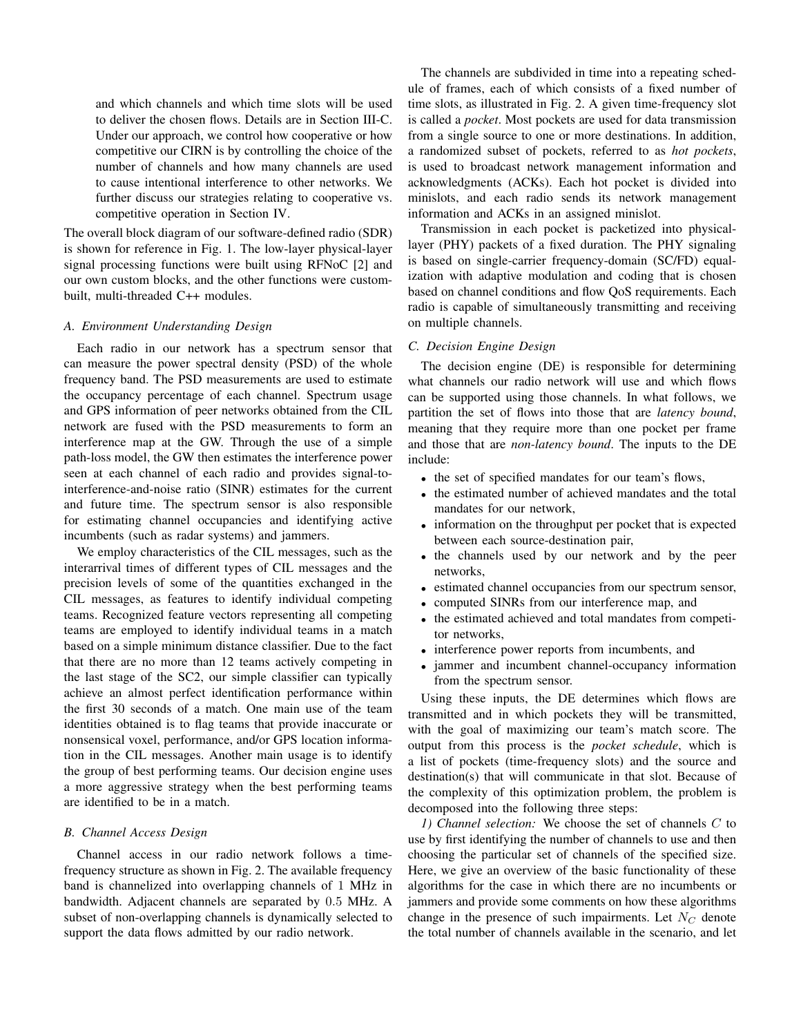and which channels and which time slots will be used to deliver the chosen flows. Details are in Section III-C. Under our approach, we control how cooperative or how competitive our CIRN is by controlling the choice of the number of channels and how many channels are used to cause intentional interference to other networks. We further discuss our strategies relating to cooperative vs. competitive operation in Section IV.

The overall block diagram of our software-defined radio (SDR) is shown for reference in Fig. 1. The low-layer physical-layer signal processing functions were built using RFNoC [2] and our own custom blocks, and the other functions were custombuilt, multi-threaded C++ modules.

#### *A. Environment Understanding Design*

Each radio in our network has a spectrum sensor that can measure the power spectral density (PSD) of the whole frequency band. The PSD measurements are used to estimate the occupancy percentage of each channel. Spectrum usage and GPS information of peer networks obtained from the CIL network are fused with the PSD measurements to form an interference map at the GW. Through the use of a simple path-loss model, the GW then estimates the interference power seen at each channel of each radio and provides signal-tointerference-and-noise ratio (SINR) estimates for the current and future time. The spectrum sensor is also responsible for estimating channel occupancies and identifying active incumbents (such as radar systems) and jammers.

We employ characteristics of the CIL messages, such as the interarrival times of different types of CIL messages and the precision levels of some of the quantities exchanged in the CIL messages, as features to identify individual competing teams. Recognized feature vectors representing all competing teams are employed to identify individual teams in a match based on a simple minimum distance classifier. Due to the fact that there are no more than 12 teams actively competing in the last stage of the SC2, our simple classifier can typically achieve an almost perfect identification performance within the first 30 seconds of a match. One main use of the team identities obtained is to flag teams that provide inaccurate or nonsensical voxel, performance, and/or GPS location information in the CIL messages. Another main usage is to identify the group of best performing teams. Our decision engine uses a more aggressive strategy when the best performing teams are identified to be in a match.

#### *B. Channel Access Design*

Channel access in our radio network follows a timefrequency structure as shown in Fig. 2. The available frequency band is channelized into overlapping channels of 1 MHz in bandwidth. Adjacent channels are separated by 0*.*5 MHz. A subset of non-overlapping channels is dynamically selected to support the data flows admitted by our radio network.

The channels are subdivided in time into a repeating schedule of frames, each of which consists of a fixed number of time slots, as illustrated in Fig. 2. A given time-frequency slot is called a *pocket*. Most pockets are used for data transmission from a single source to one or more destinations. In addition, a randomized subset of pockets, referred to as *hot pockets*, is used to broadcast network management information and acknowledgments (ACKs). Each hot pocket is divided into minislots, and each radio sends its network management information and ACKs in an assigned minislot.

Transmission in each pocket is packetized into physicallayer (PHY) packets of a fixed duration. The PHY signaling is based on single-carrier frequency-domain (SC/FD) equalization with adaptive modulation and coding that is chosen based on channel conditions and flow QoS requirements. Each radio is capable of simultaneously transmitting and receiving on multiple channels.

## *C. Decision Engine Design*

The decision engine (DE) is responsible for determining what channels our radio network will use and which flows can be supported using those channels. In what follows, we partition the set of flows into those that are *latency bound*, meaning that they require more than one pocket per frame and those that are *non-latency bound*. The inputs to the DE include:

- the set of specified mandates for our team's flows,
- the estimated number of achieved mandates and the total mandates for our network,
- *•* information on the throughput per pocket that is expected between each source-destination pair,
- *•* the channels used by our network and by the peer networks,
- *•* estimated channel occupancies from our spectrum sensor,
- *•* computed SINRs from our interference map, and
- *•* the estimated achieved and total mandates from competitor networks,
- *•* interference power reports from incumbents, and
- jammer and incumbent channel-occupancy information from the spectrum sensor.

Using these inputs, the DE determines which flows are transmitted and in which pockets they will be transmitted, with the goal of maximizing our team's match score. The output from this process is the *pocket schedule*, which is a list of pockets (time-frequency slots) and the source and destination(s) that will communicate in that slot. Because of the complexity of this optimization problem, the problem is decomposed into the following three steps:

*1) Channel selection:* We choose the set of channels *C* to use by first identifying the number of channels to use and then choosing the particular set of channels of the specified size. Here, we give an overview of the basic functionality of these algorithms for the case in which there are no incumbents or jammers and provide some comments on how these algorithms change in the presence of such impairments. Let  $N_C$  denote the total number of channels available in the scenario, and let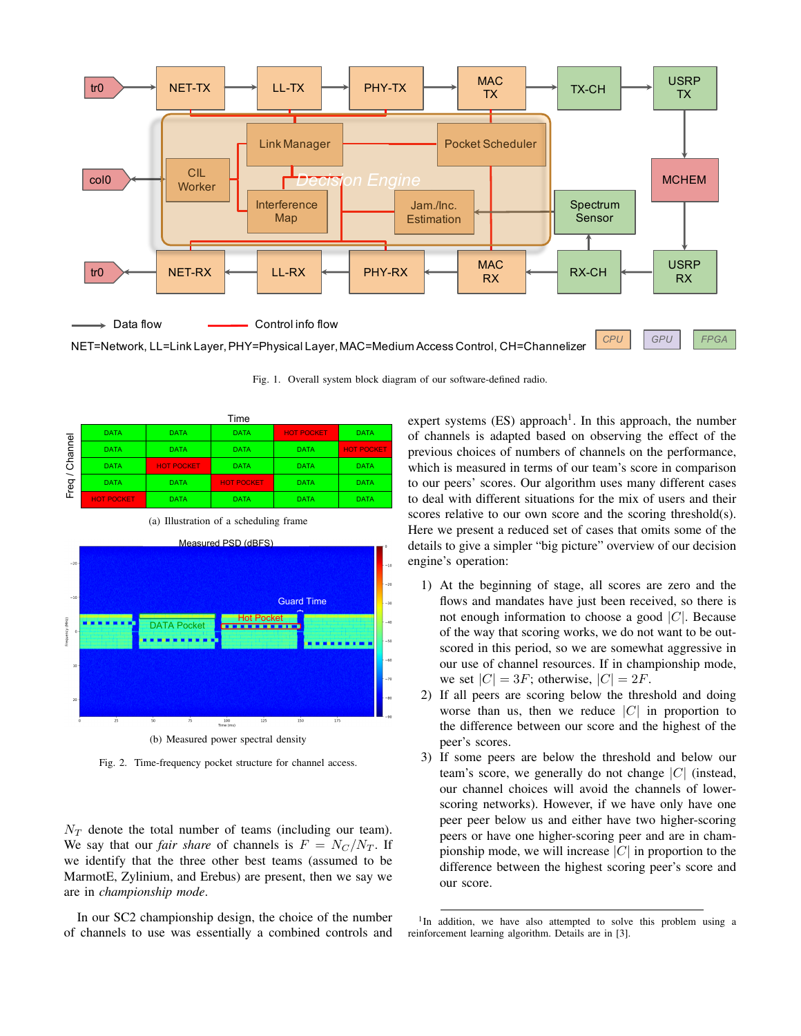

Fig. 1. Overall system block diagram of our software-defined radio.

|                                                 | Time              |                   |                   |                   |                   |
|-------------------------------------------------|-------------------|-------------------|-------------------|-------------------|-------------------|
| Channel<br>$\overline{\phantom{0}}$<br>req<br>щ | <b>DATA</b>       | <b>DATA</b>       | <b>DATA</b>       | <b>HOT POCKET</b> | <b>DATA</b>       |
|                                                 | <b>DATA</b>       | <b>DATA</b>       | <b>DATA</b>       | <b>DATA</b>       | <b>HOT POCKET</b> |
|                                                 | <b>DATA</b>       | <b>HOT POCKET</b> | <b>DATA</b>       | <b>DATA</b>       | <b>DATA</b>       |
|                                                 | <b>DATA</b>       | <b>DATA</b>       | <b>HOT POCKET</b> | <b>DATA</b>       | <b>DATA</b>       |
|                                                 | <b>HOT POCKET</b> | <b>DATA</b>       | <b>DATA</b>       | <b>DATA</b>       | <b>DATA</b>       |



(a) Illustration of a scheduling frame

Fig. 2. Time-frequency pocket structure for channel access.

 $N_T$  denote the total number of teams (including our team). We say that our *fair share* of channels is  $F = N_C/N_T$ . If we identify that the three other best teams (assumed to be MarmotE, Zylinium, and Erebus) are present, then we say we are in *championship mode*.

In our SC2 championship design, the choice of the number of channels to use was essentially a combined controls and expert systems  $(ES)$  approach<sup>1</sup>. In this approach, the number of channels is adapted based on observing the effect of the previous choices of numbers of channels on the performance, which is measured in terms of our team's score in comparison to our peers' scores. Our algorithm uses many different cases to deal with different situations for the mix of users and their scores relative to our own score and the scoring threshold(s). Here we present a reduced set of cases that omits some of the details to give a simpler "big picture" overview of our decision engine's operation:

- 1) At the beginning of stage, all scores are zero and the flows and mandates have just been received, so there is not enough information to choose a good *|C|*. Because of the way that scoring works, we do not want to be outscored in this period, so we are somewhat aggressive in our use of channel resources. If in championship mode, we set  $|C| = 3F$ ; otherwise,  $|C| = 2F$ .
- 2) If all peers are scoring below the threshold and doing worse than us, then we reduce *|C|* in proportion to the difference between our score and the highest of the peer's scores.
- 3) If some peers are below the threshold and below our team's score, we generally do not change *|C|* (instead, our channel choices will avoid the channels of lowerscoring networks). However, if we have only have one peer peer below us and either have two higher-scoring peers or have one higher-scoring peer and are in championship mode, we will increase *|C|* in proportion to the difference between the highest scoring peer's score and our score.

<sup>1</sup>In addition, we have also attempted to solve this problem using a reinforcement learning algorithm. Details are in [3].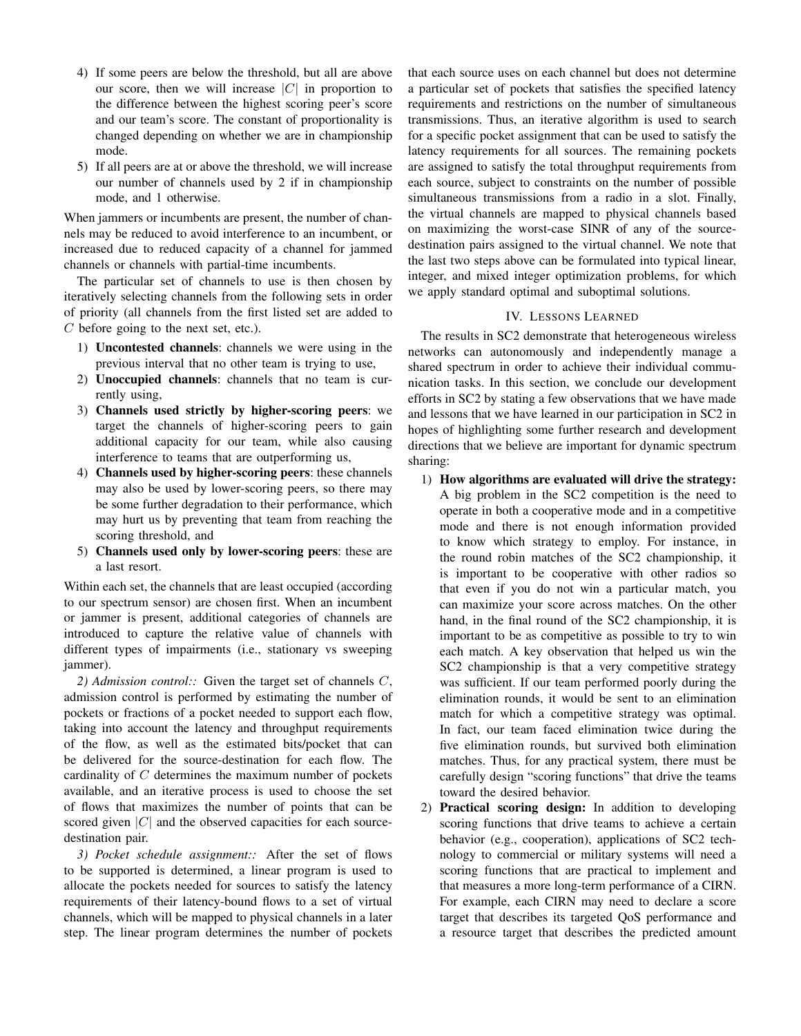- 4) If some peers are below the threshold, but all are above our score, then we will increase *|C|* in proportion to the difference between the highest scoring peer's score and our team's score. The constant of proportionality is changed depending on whether we are in championship mode.
- 5) If all peers are at or above the threshold, we will increase our number of channels used by 2 if in championship mode, and 1 otherwise.

When jammers or incumbents are present, the number of channels may be reduced to avoid interference to an incumbent, or increased due to reduced capacity of a channel for jammed channels or channels with partial-time incumbents.

The particular set of channels to use is then chosen by iteratively selecting channels from the following sets in order of priority (all channels from the first listed set are added to *C* before going to the next set, etc.).

- 1) Uncontested channels: channels we were using in the previous interval that no other team is trying to use,
- 2) Unoccupied channels: channels that no team is currently using,
- 3) Channels used strictly by higher-scoring peers: we target the channels of higher-scoring peers to gain additional capacity for our team, while also causing interference to teams that are outperforming us,
- 4) Channels used by higher-scoring peers: these channels may also be used by lower-scoring peers, so there may be some further degradation to their performance, which may hurt us by preventing that team from reaching the scoring threshold, and
- 5) Channels used only by lower-scoring peers: these are a last resort.

Within each set, the channels that are least occupied (according to our spectrum sensor) are chosen first. When an incumbent or jammer is present, additional categories of channels are introduced to capture the relative value of channels with different types of impairments (i.e., stationary vs sweeping jammer).

*2) Admission control::* Given the target set of channels *C*, admission control is performed by estimating the number of pockets or fractions of a pocket needed to support each flow, taking into account the latency and throughput requirements of the flow, as well as the estimated bits/pocket that can be delivered for the source-destination for each flow. The cardinality of *C* determines the maximum number of pockets available, and an iterative process is used to choose the set of flows that maximizes the number of points that can be scored given *|C|* and the observed capacities for each sourcedestination pair.

*3) Pocket schedule assignment::* After the set of flows to be supported is determined, a linear program is used to allocate the pockets needed for sources to satisfy the latency requirements of their latency-bound flows to a set of virtual channels, which will be mapped to physical channels in a later step. The linear program determines the number of pockets

that each source uses on each channel but does not determine a particular set of pockets that satisfies the specified latency requirements and restrictions on the number of simultaneous transmissions. Thus, an iterative algorithm is used to search for a specific pocket assignment that can be used to satisfy the latency requirements for all sources. The remaining pockets are assigned to satisfy the total throughput requirements from each source, subject to constraints on the number of possible simultaneous transmissions from a radio in a slot. Finally, the virtual channels are mapped to physical channels based on maximizing the worst-case SINR of any of the sourcedestination pairs assigned to the virtual channel. We note that the last two steps above can be formulated into typical linear, integer, and mixed integer optimization problems, for which we apply standard optimal and suboptimal solutions.

# IV. LESSONS LEARNED

The results in SC2 demonstrate that heterogeneous wireless networks can autonomously and independently manage a shared spectrum in order to achieve their individual communication tasks. In this section, we conclude our development efforts in SC2 by stating a few observations that we have made and lessons that we have learned in our participation in SC2 in hopes of highlighting some further research and development directions that we believe are important for dynamic spectrum sharing:

- 1) How algorithms are evaluated will drive the strategy: A big problem in the SC2 competition is the need to operate in both a cooperative mode and in a competitive mode and there is not enough information provided to know which strategy to employ. For instance, in the round robin matches of the SC2 championship, it is important to be cooperative with other radios so that even if you do not win a particular match, you can maximize your score across matches. On the other hand, in the final round of the SC2 championship, it is important to be as competitive as possible to try to win each match. A key observation that helped us win the SC2 championship is that a very competitive strategy was sufficient. If our team performed poorly during the elimination rounds, it would be sent to an elimination match for which a competitive strategy was optimal. In fact, our team faced elimination twice during the five elimination rounds, but survived both elimination matches. Thus, for any practical system, there must be carefully design "scoring functions" that drive the teams toward the desired behavior.
- 2) Practical scoring design: In addition to developing scoring functions that drive teams to achieve a certain behavior (e.g., cooperation), applications of SC2 technology to commercial or military systems will need a scoring functions that are practical to implement and that measures a more long-term performance of a CIRN. For example, each CIRN may need to declare a score target that describes its targeted QoS performance and a resource target that describes the predicted amount